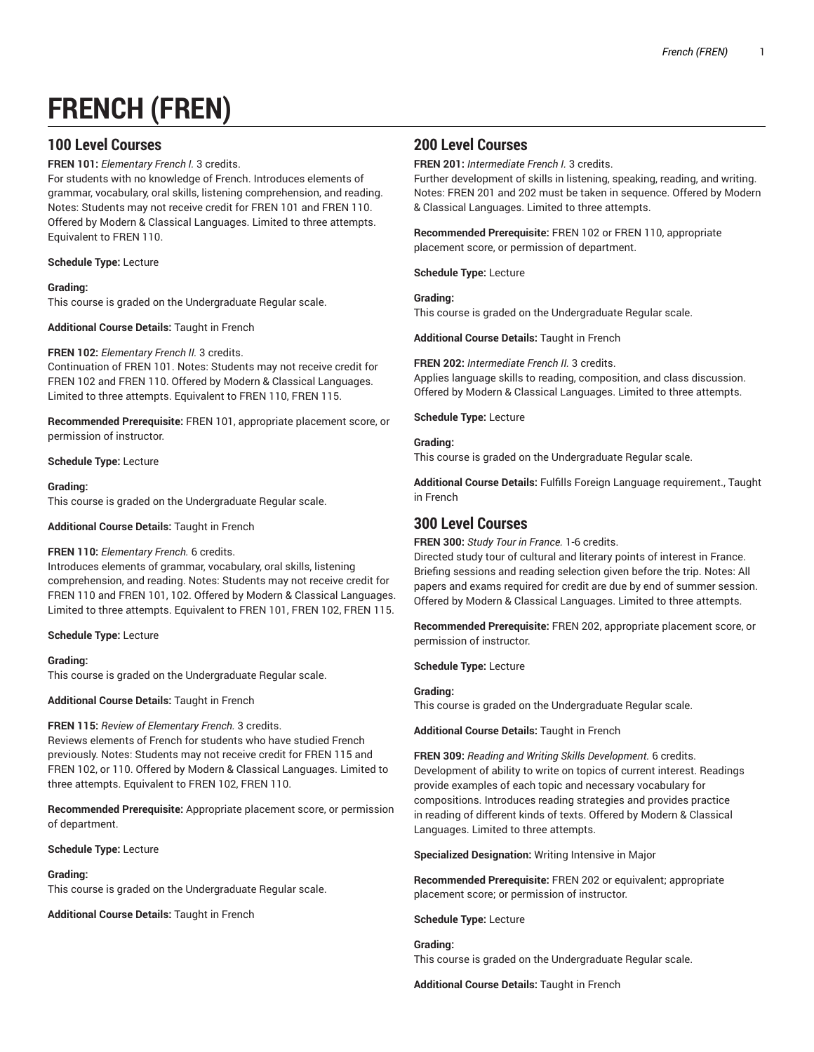# **FRENCH (FREN)**

# **100 Level Courses**

**FREN 101:** *Elementary French I.* 3 credits.

For students with no knowledge of French. Introduces elements of grammar, vocabulary, oral skills, listening comprehension, and reading. Notes: Students may not receive credit for FREN 101 and FREN 110. Offered by Modern & Classical Languages. Limited to three attempts. Equivalent to FREN 110.

## **Schedule Type:** Lecture

## **Grading:**

This course is graded on the Undergraduate Regular scale.

**Additional Course Details:** Taught in French

## **FREN 102:** *Elementary French II.* 3 credits.

Continuation of FREN 101. Notes: Students may not receive credit for FREN 102 and FREN 110. Offered by Modern & Classical Languages. Limited to three attempts. Equivalent to FREN 110, FREN 115.

**Recommended Prerequisite:** FREN 101, appropriate placement score, or permission of instructor.

## **Schedule Type:** Lecture

## **Grading:**

This course is graded on the Undergraduate Regular scale.

**Additional Course Details:** Taught in French

#### **FREN 110:** *Elementary French.* 6 credits.

Introduces elements of grammar, vocabulary, oral skills, listening comprehension, and reading. Notes: Students may not receive credit for FREN 110 and FREN 101, 102. Offered by Modern & Classical Languages. Limited to three attempts. Equivalent to FREN 101, FREN 102, FREN 115.

#### **Schedule Type:** Lecture

## **Grading:**

This course is graded on the Undergraduate Regular scale.

**Additional Course Details:** Taught in French

#### **FREN 115:** *Review of Elementary French.* 3 credits.

Reviews elements of French for students who have studied French previously. Notes: Students may not receive credit for FREN 115 and FREN 102, or 110. Offered by Modern & Classical Languages. Limited to three attempts. Equivalent to FREN 102, FREN 110.

**Recommended Prerequisite:** Appropriate placement score, or permission of department.

**Schedule Type:** Lecture

#### **Grading:**

This course is graded on the Undergraduate Regular scale.

**Additional Course Details:** Taught in French

# **200 Level Courses**

**FREN 201:** *Intermediate French I.* 3 credits.

Further development of skills in listening, speaking, reading, and writing. Notes: FREN 201 and 202 must be taken in sequence. Offered by Modern & Classical Languages. Limited to three attempts.

**Recommended Prerequisite:** FREN 102 or FREN 110, appropriate placement score, or permission of department.

**Schedule Type:** Lecture

#### **Grading:**

This course is graded on the Undergraduate Regular scale.

**Additional Course Details:** Taught in French

## **FREN 202:** *Intermediate French II.* 3 credits.

Applies language skills to reading, composition, and class discussion. Offered by Modern & Classical Languages. Limited to three attempts.

**Schedule Type:** Lecture

#### **Grading:**

This course is graded on the Undergraduate Regular scale.

**Additional Course Details:** Fulfills Foreign Language requirement., Taught in French

## **300 Level Courses**

**FREN 300:** *Study Tour in France.* 1-6 credits.

Directed study tour of cultural and literary points of interest in France. Briefing sessions and reading selection given before the trip. Notes: All papers and exams required for credit are due by end of summer session. Offered by Modern & Classical Languages. Limited to three attempts.

**Recommended Prerequisite:** FREN 202, appropriate placement score, or permission of instructor.

**Schedule Type:** Lecture

## **Grading:**

This course is graded on the Undergraduate Regular scale.

**Additional Course Details:** Taught in French

**FREN 309:** *Reading and Writing Skills Development.* 6 credits. Development of ability to write on topics of current interest. Readings provide examples of each topic and necessary vocabulary for compositions. Introduces reading strategies and provides practice in reading of different kinds of texts. Offered by Modern & Classical Languages. Limited to three attempts.

**Specialized Designation:** Writing Intensive in Major

**Recommended Prerequisite:** FREN 202 or equivalent; appropriate placement score; or permission of instructor.

**Schedule Type:** Lecture

**Grading:** This course is graded on the Undergraduate Regular scale.

**Additional Course Details:** Taught in French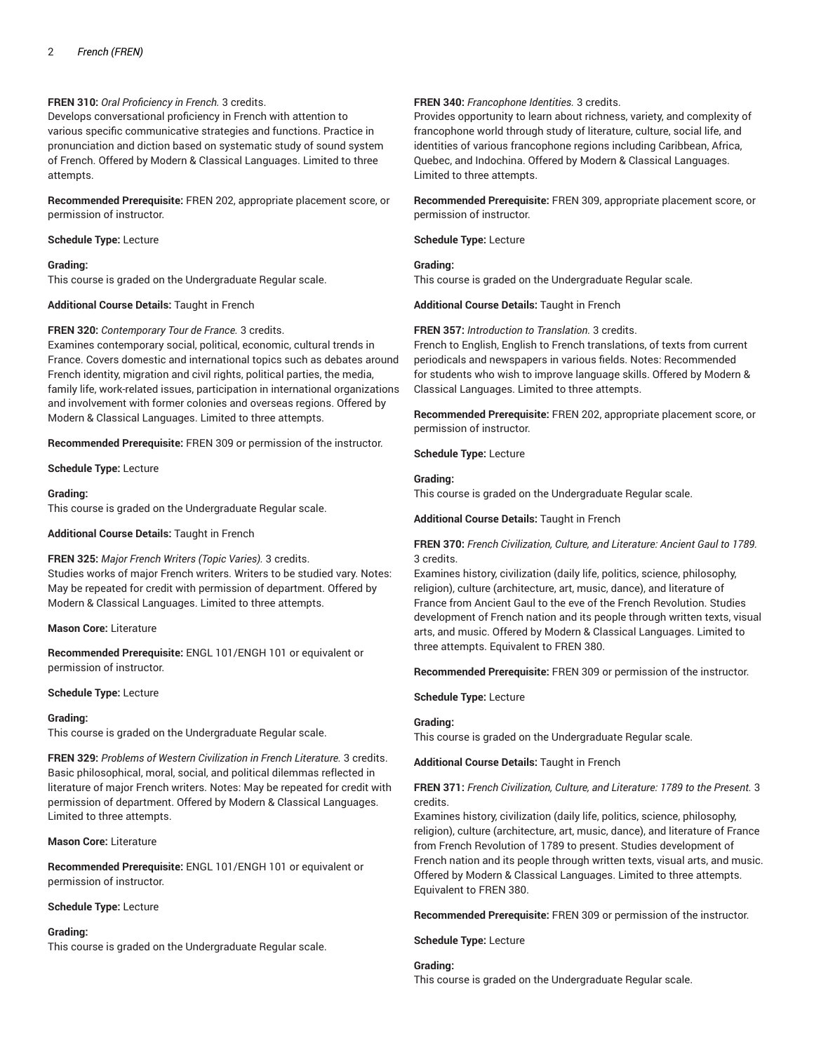## **FREN 310:** *Oral Proficiency in French.* 3 credits.

Develops conversational proficiency in French with attention to various specific communicative strategies and functions. Practice in pronunciation and diction based on systematic study of sound system of French. Offered by Modern & Classical Languages. Limited to three attempts.

**Recommended Prerequisite:** FREN 202, appropriate placement score, or permission of instructor.

**Schedule Type:** Lecture

#### **Grading:**

This course is graded on the Undergraduate Regular scale.

**Additional Course Details:** Taught in French

#### **FREN 320:** *Contemporary Tour de France.* 3 credits.

Examines contemporary social, political, economic, cultural trends in France. Covers domestic and international topics such as debates around French identity, migration and civil rights, political parties, the media, family life, work-related issues, participation in international organizations and involvement with former colonies and overseas regions. Offered by Modern & Classical Languages. Limited to three attempts.

**Recommended Prerequisite:** FREN 309 or permission of the instructor.

**Schedule Type:** Lecture

#### **Grading:**

This course is graded on the Undergraduate Regular scale.

**Additional Course Details:** Taught in French

#### **FREN 325:** *Major French Writers (Topic Varies).* 3 credits.

Studies works of major French writers. Writers to be studied vary. Notes: May be repeated for credit with permission of department. Offered by Modern & Classical Languages. Limited to three attempts.

## **Mason Core:** Literature

**Recommended Prerequisite:** ENGL 101/ENGH 101 or equivalent or permission of instructor.

#### **Schedule Type:** Lecture

#### **Grading:**

This course is graded on the Undergraduate Regular scale.

**FREN 329:** *Problems of Western Civilization in French Literature.* 3 credits. Basic philosophical, moral, social, and political dilemmas reflected in literature of major French writers. Notes: May be repeated for credit with permission of department. Offered by Modern & Classical Languages. Limited to three attempts.

**Mason Core:** Literature

**Recommended Prerequisite:** ENGL 101/ENGH 101 or equivalent or permission of instructor.

#### **Schedule Type:** Lecture

#### **Grading:**

This course is graded on the Undergraduate Regular scale.

#### **FREN 340:** *Francophone Identities.* 3 credits.

Provides opportunity to learn about richness, variety, and complexity of francophone world through study of literature, culture, social life, and identities of various francophone regions including Caribbean, Africa, Quebec, and Indochina. Offered by Modern & Classical Languages. Limited to three attempts.

**Recommended Prerequisite:** FREN 309, appropriate placement score, or permission of instructor.

**Schedule Type:** Lecture

**Grading:** This course is graded on the Undergraduate Regular scale.

**Additional Course Details:** Taught in French

**FREN 357:** *Introduction to Translation.* 3 credits.

French to English, English to French translations, of texts from current periodicals and newspapers in various fields. Notes: Recommended for students who wish to improve language skills. Offered by Modern & Classical Languages. Limited to three attempts.

**Recommended Prerequisite:** FREN 202, appropriate placement score, or permission of instructor.

**Schedule Type:** Lecture

#### **Grading:**

This course is graded on the Undergraduate Regular scale.

**Additional Course Details:** Taught in French

#### **FREN 370:** *French Civilization, Culture, and Literature: Ancient Gaul to 1789.* 3 credits.

Examines history, civilization (daily life, politics, science, philosophy, religion), culture (architecture, art, music, dance), and literature of France from Ancient Gaul to the eve of the French Revolution. Studies development of French nation and its people through written texts, visual arts, and music. Offered by Modern & Classical Languages. Limited to three attempts. Equivalent to FREN 380.

**Recommended Prerequisite:** FREN 309 or permission of the instructor.

**Schedule Type:** Lecture

#### **Grading:**

This course is graded on the Undergraduate Regular scale.

**Additional Course Details:** Taught in French

## **FREN 371:** *French Civilization, Culture, and Literature: 1789 to the Present.* 3 credits.

Examines history, civilization (daily life, politics, science, philosophy, religion), culture (architecture, art, music, dance), and literature of France from French Revolution of 1789 to present. Studies development of French nation and its people through written texts, visual arts, and music. Offered by Modern & Classical Languages. Limited to three attempts. Equivalent to FREN 380.

**Recommended Prerequisite:** FREN 309 or permission of the instructor.

**Schedule Type:** Lecture

## **Grading:**

This course is graded on the Undergraduate Regular scale.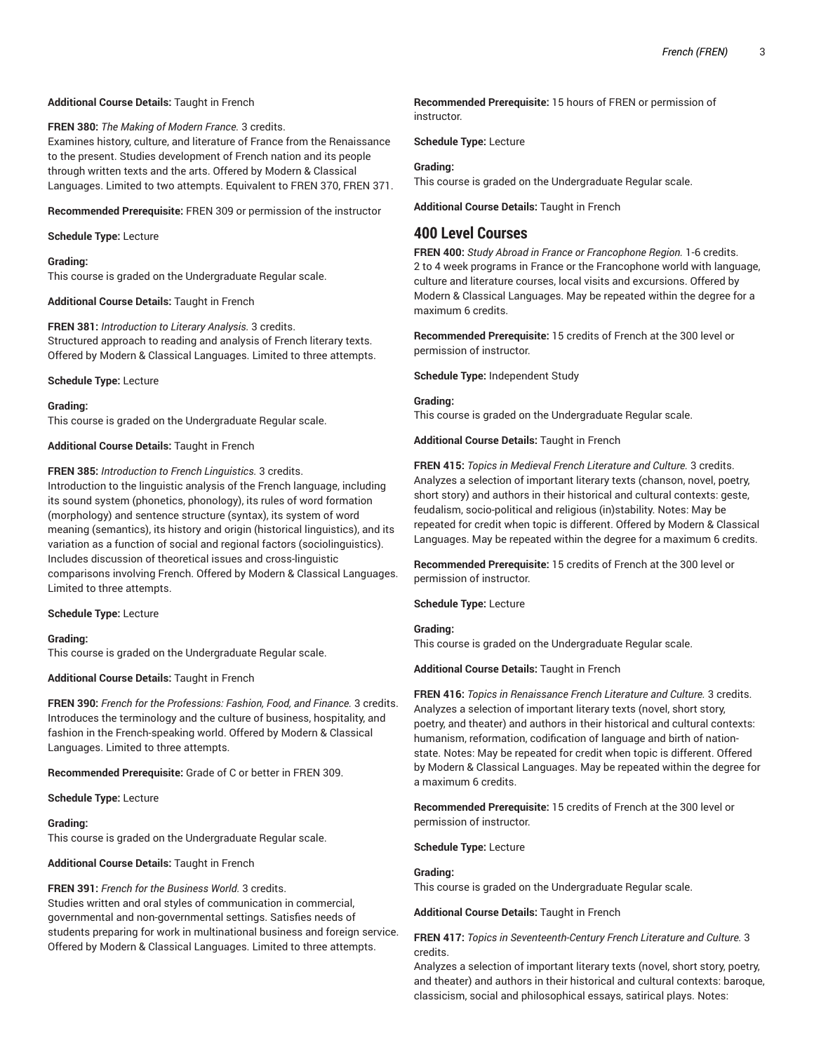## **Additional Course Details:** Taught in French

**FREN 380:** *The Making of Modern France.* 3 credits. Examines history, culture, and literature of France from the Renaissance

to the present. Studies development of French nation and its people through written texts and the arts. Offered by Modern & Classical Languages. Limited to two attempts. Equivalent to FREN 370, FREN 371.

**Recommended Prerequisite:** FREN 309 or permission of the instructor

**Schedule Type:** Lecture

## **Grading:**

This course is graded on the Undergraduate Regular scale.

**Additional Course Details:** Taught in French

**FREN 381:** *Introduction to Literary Analysis.* 3 credits. Structured approach to reading and analysis of French literary texts. Offered by Modern & Classical Languages. Limited to three attempts.

**Schedule Type:** Lecture

**Grading:** This course is graded on the Undergraduate Regular scale.

**Additional Course Details:** Taught in French

**FREN 385:** *Introduction to French Linguistics.* 3 credits.

Introduction to the linguistic analysis of the French language, including its sound system (phonetics, phonology), its rules of word formation (morphology) and sentence structure (syntax), its system of word meaning (semantics), its history and origin (historical linguistics), and its variation as a function of social and regional factors (sociolinguistics). Includes discussion of theoretical issues and cross-linguistic comparisons involving French. Offered by Modern & Classical Languages. Limited to three attempts.

#### **Schedule Type:** Lecture

#### **Grading:**

This course is graded on the Undergraduate Regular scale.

**Additional Course Details:** Taught in French

**FREN 390:** *French for the Professions: Fashion, Food, and Finance.* 3 credits. Introduces the terminology and the culture of business, hospitality, and fashion in the French-speaking world. Offered by Modern & Classical Languages. Limited to three attempts.

**Recommended Prerequisite:** Grade of C or better in FREN 309.

**Schedule Type:** Lecture

#### **Grading:**

This course is graded on the Undergraduate Regular scale.

**Additional Course Details:** Taught in French

## **FREN 391:** *French for the Business World.* 3 credits.

Studies written and oral styles of communication in commercial, governmental and non-governmental settings. Satisfies needs of students preparing for work in multinational business and foreign service. Offered by Modern & Classical Languages. Limited to three attempts.

**Recommended Prerequisite:** 15 hours of FREN or permission of instructor.

**Schedule Type:** Lecture

## **Grading:**

This course is graded on the Undergraduate Regular scale.

**Additional Course Details:** Taught in French

# **400 Level Courses**

**FREN 400:** *Study Abroad in France or Francophone Region.* 1-6 credits. 2 to 4 week programs in France or the Francophone world with language, culture and literature courses, local visits and excursions. Offered by Modern & Classical Languages. May be repeated within the degree for a maximum 6 credits.

**Recommended Prerequisite:** 15 credits of French at the 300 level or permission of instructor.

**Schedule Type:** Independent Study

## **Grading:**

This course is graded on the Undergraduate Regular scale.

**Additional Course Details:** Taught in French

**FREN 415:** *Topics in Medieval French Literature and Culture.* 3 credits. Analyzes a selection of important literary texts (chanson, novel, poetry, short story) and authors in their historical and cultural contexts: geste, feudalism, socio-political and religious (in)stability. Notes: May be repeated for credit when topic is different. Offered by Modern & Classical Languages. May be repeated within the degree for a maximum 6 credits.

**Recommended Prerequisite:** 15 credits of French at the 300 level or permission of instructor.

**Schedule Type:** Lecture

## **Grading:**

This course is graded on the Undergraduate Regular scale.

**Additional Course Details:** Taught in French

**FREN 416:** *Topics in Renaissance French Literature and Culture.* 3 credits. Analyzes a selection of important literary texts (novel, short story, poetry, and theater) and authors in their historical and cultural contexts: humanism, reformation, codification of language and birth of nationstate. Notes: May be repeated for credit when topic is different. Offered by Modern & Classical Languages. May be repeated within the degree for a maximum 6 credits.

**Recommended Prerequisite:** 15 credits of French at the 300 level or permission of instructor.

**Schedule Type:** Lecture

## **Grading:**

This course is graded on the Undergraduate Regular scale.

**Additional Course Details:** Taught in French

**FREN 417:** *Topics in Seventeenth-Century French Literature and Culture.* 3 credits.

Analyzes a selection of important literary texts (novel, short story, poetry, and theater) and authors in their historical and cultural contexts: baroque, classicism, social and philosophical essays, satirical plays. Notes: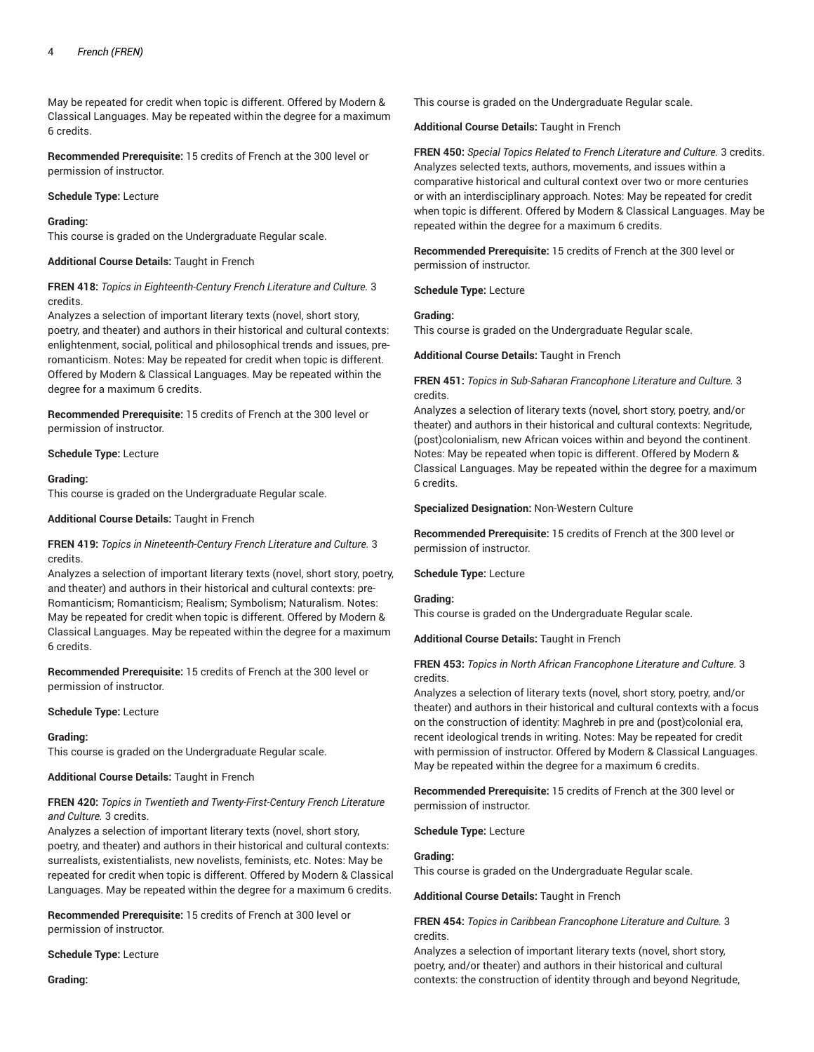May be repeated for credit when topic is different. Offered by Modern & Classical Languages. May be repeated within the degree for a maximum 6 credits.

**Recommended Prerequisite:** 15 credits of French at the 300 level or permission of instructor.

#### **Schedule Type:** Lecture

#### **Grading:**

This course is graded on the Undergraduate Regular scale.

## **Additional Course Details:** Taught in French

## **FREN 418:** *Topics in Eighteenth-Century French Literature and Culture.* 3 credits.

Analyzes a selection of important literary texts (novel, short story, poetry, and theater) and authors in their historical and cultural contexts: enlightenment, social, political and philosophical trends and issues, preromanticism. Notes: May be repeated for credit when topic is different. Offered by Modern & Classical Languages. May be repeated within the degree for a maximum 6 credits.

**Recommended Prerequisite:** 15 credits of French at the 300 level or permission of instructor.

**Schedule Type:** Lecture

#### **Grading:**

This course is graded on the Undergraduate Regular scale.

#### **Additional Course Details:** Taught in French

**FREN 419:** *Topics in Nineteenth-Century French Literature and Culture.* 3 credits.

Analyzes a selection of important literary texts (novel, short story, poetry, and theater) and authors in their historical and cultural contexts: pre-Romanticism; Romanticism; Realism; Symbolism; Naturalism. Notes: May be repeated for credit when topic is different. Offered by Modern & Classical Languages. May be repeated within the degree for a maximum 6 credits.

**Recommended Prerequisite:** 15 credits of French at the 300 level or permission of instructor.

#### **Schedule Type:** Lecture

#### **Grading:**

This course is graded on the Undergraduate Regular scale.

#### **Additional Course Details:** Taught in French

## **FREN 420:** *Topics in Twentieth and Twenty-First-Century French Literature and Culture.* 3 credits.

Analyzes a selection of important literary texts (novel, short story, poetry, and theater) and authors in their historical and cultural contexts: surrealists, existentialists, new novelists, feminists, etc. Notes: May be repeated for credit when topic is different. Offered by Modern & Classical Languages. May be repeated within the degree for a maximum 6 credits.

**Recommended Prerequisite:** 15 credits of French at 300 level or permission of instructor.

**Schedule Type:** Lecture

**Grading:**

This course is graded on the Undergraduate Regular scale.

**Additional Course Details:** Taught in French

**FREN 450:** *Special Topics Related to French Literature and Culture.* 3 credits. Analyzes selected texts, authors, movements, and issues within a comparative historical and cultural context over two or more centuries or with an interdisciplinary approach. Notes: May be repeated for credit when topic is different. Offered by Modern & Classical Languages. May be repeated within the degree for a maximum 6 credits.

**Recommended Prerequisite:** 15 credits of French at the 300 level or permission of instructor.

**Schedule Type:** Lecture

## **Grading:**

This course is graded on the Undergraduate Regular scale.

**Additional Course Details:** Taught in French

## **FREN 451:** *Topics in Sub-Saharan Francophone Literature and Culture.* 3 credits.

Analyzes a selection of literary texts (novel, short story, poetry, and/or theater) and authors in their historical and cultural contexts: Negritude, (post)colonialism, new African voices within and beyond the continent. Notes: May be repeated when topic is different. Offered by Modern & Classical Languages. May be repeated within the degree for a maximum 6 credits.

#### **Specialized Designation:** Non-Western Culture

**Recommended Prerequisite:** 15 credits of French at the 300 level or permission of instructor.

#### **Schedule Type:** Lecture

#### **Grading:**

This course is graded on the Undergraduate Regular scale.

**Additional Course Details:** Taught in French

## **FREN 453:** *Topics in North African Francophone Literature and Culture.* 3 credits.

Analyzes a selection of literary texts (novel, short story, poetry, and/or theater) and authors in their historical and cultural contexts with a focus on the construction of identity: Maghreb in pre and (post)colonial era, recent ideological trends in writing. Notes: May be repeated for credit with permission of instructor. Offered by Modern & Classical Languages. May be repeated within the degree for a maximum 6 credits.

**Recommended Prerequisite:** 15 credits of French at the 300 level or permission of instructor.

**Schedule Type:** Lecture

#### **Grading:**

This course is graded on the Undergraduate Regular scale.

**Additional Course Details:** Taught in French

**FREN 454:** *Topics in Caribbean Francophone Literature and Culture.* 3 credits.

Analyzes a selection of important literary texts (novel, short story, poetry, and/or theater) and authors in their historical and cultural contexts: the construction of identity through and beyond Negritude,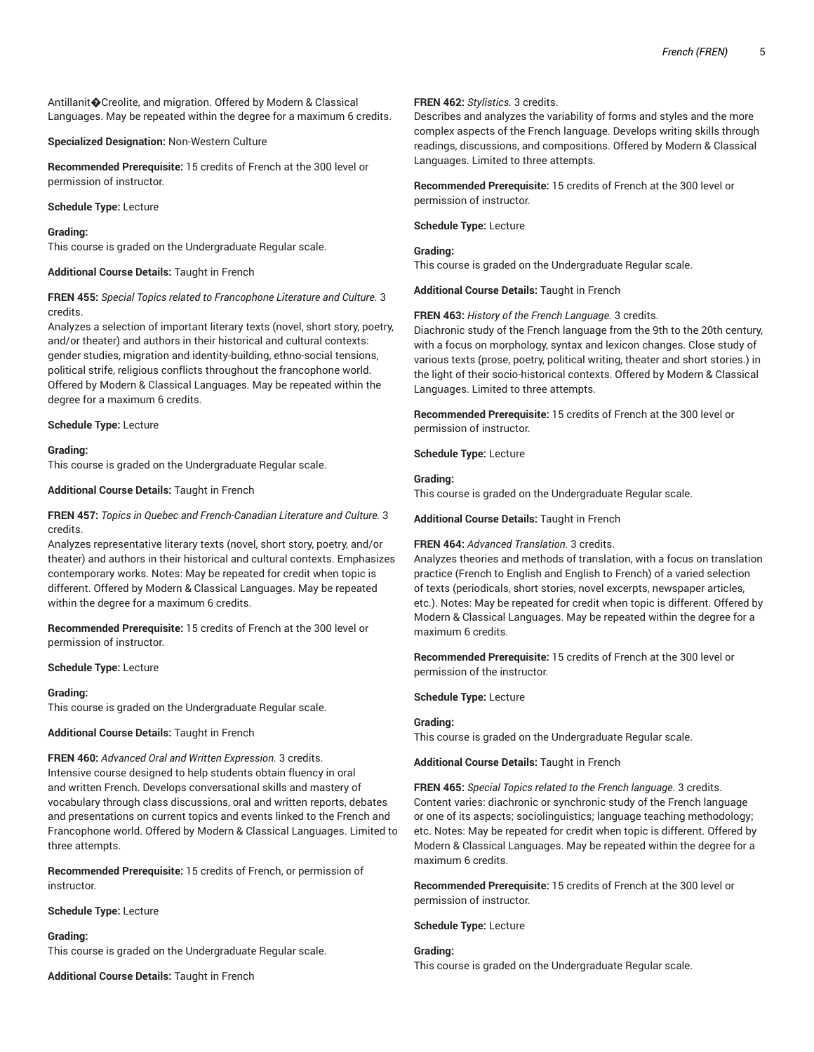Antillanit�Creolite, and migration. Offered by Modern & Classical Languages. May be repeated within the degree for a maximum 6 credits.

**Specialized Designation:** Non-Western Culture

**Recommended Prerequisite:** 15 credits of French at the 300 level or permission of instructor.

## **Schedule Type:** Lecture

## **Grading:**

This course is graded on the Undergraduate Regular scale.

## **Additional Course Details:** Taught in French

## **FREN 455:** *Special Topics related to Francophone Literature and Culture.* 3 credits.

Analyzes a selection of important literary texts (novel, short story, poetry, and/or theater) and authors in their historical and cultural contexts: gender studies, migration and identity-building, ethno-social tensions, political strife, religious conflicts throughout the francophone world. Offered by Modern & Classical Languages. May be repeated within the degree for a maximum 6 credits.

## **Schedule Type:** Lecture

## **Grading:**

This course is graded on the Undergraduate Regular scale.

## **Additional Course Details:** Taught in French

## **FREN 457:** *Topics in Quebec and French-Canadian Literature and Culture.* 3 credits.

Analyzes representative literary texts (novel, short story, poetry, and/or theater) and authors in their historical and cultural contexts. Emphasizes contemporary works. Notes: May be repeated for credit when topic is different. Offered by Modern & Classical Languages. May be repeated within the degree for a maximum 6 credits.

**Recommended Prerequisite:** 15 credits of French at the 300 level or permission of instructor.

#### **Schedule Type:** Lecture

#### **Grading:**

This course is graded on the Undergraduate Regular scale.

#### **Additional Course Details:** Taught in French

## **FREN 460:** *Advanced Oral and Written Expression.* 3 credits.

Intensive course designed to help students obtain fluency in oral and written French. Develops conversational skills and mastery of vocabulary through class discussions, oral and written reports, debates and presentations on current topics and events linked to the French and Francophone world. Offered by Modern & Classical Languages. Limited to three attempts.

**Recommended Prerequisite:** 15 credits of French, or permission of instructor.

#### **Schedule Type:** Lecture

#### **Grading:**

This course is graded on the Undergraduate Regular scale.

**Additional Course Details:** Taught in French

## **FREN 462:** *Stylistics.* 3 credits.

Describes and analyzes the variability of forms and styles and the more complex aspects of the French language. Develops writing skills through readings, discussions, and compositions. Offered by Modern & Classical Languages. Limited to three attempts.

**Recommended Prerequisite:** 15 credits of French at the 300 level or permission of instructor.

#### **Schedule Type:** Lecture

#### **Grading:**

This course is graded on the Undergraduate Regular scale.

**Additional Course Details:** Taught in French

## **FREN 463:** *History of the French Language.* 3 credits.

Diachronic study of the French language from the 9th to the 20th century, with a focus on morphology, syntax and lexicon changes. Close study of various texts (prose, poetry, political writing, theater and short stories.) in the light of their socio-historical contexts. Offered by Modern & Classical Languages. Limited to three attempts.

**Recommended Prerequisite:** 15 credits of French at the 300 level or permission of instructor.

**Schedule Type:** Lecture

#### **Grading:**

This course is graded on the Undergraduate Regular scale.

**Additional Course Details:** Taught in French

#### **FREN 464:** *Advanced Translation.* 3 credits.

Analyzes theories and methods of translation, with a focus on translation practice (French to English and English to French) of a varied selection of texts (periodicals, short stories, novel excerpts, newspaper articles, etc.). Notes: May be repeated for credit when topic is different. Offered by Modern & Classical Languages. May be repeated within the degree for a maximum 6 credits.

**Recommended Prerequisite:** 15 credits of French at the 300 level or permission of the instructor.

**Schedule Type:** Lecture

## **Grading:**

This course is graded on the Undergraduate Regular scale.

**Additional Course Details:** Taught in French

**FREN 465:** *Special Topics related to the French language.* 3 credits. Content varies: diachronic or synchronic study of the French language or one of its aspects; sociolinguistics; language teaching methodology; etc. Notes: May be repeated for credit when topic is different. Offered by Modern & Classical Languages. May be repeated within the degree for a maximum 6 credits.

**Recommended Prerequisite:** 15 credits of French at the 300 level or permission of instructor.

**Schedule Type:** Lecture

## **Grading:**

This course is graded on the Undergraduate Regular scale.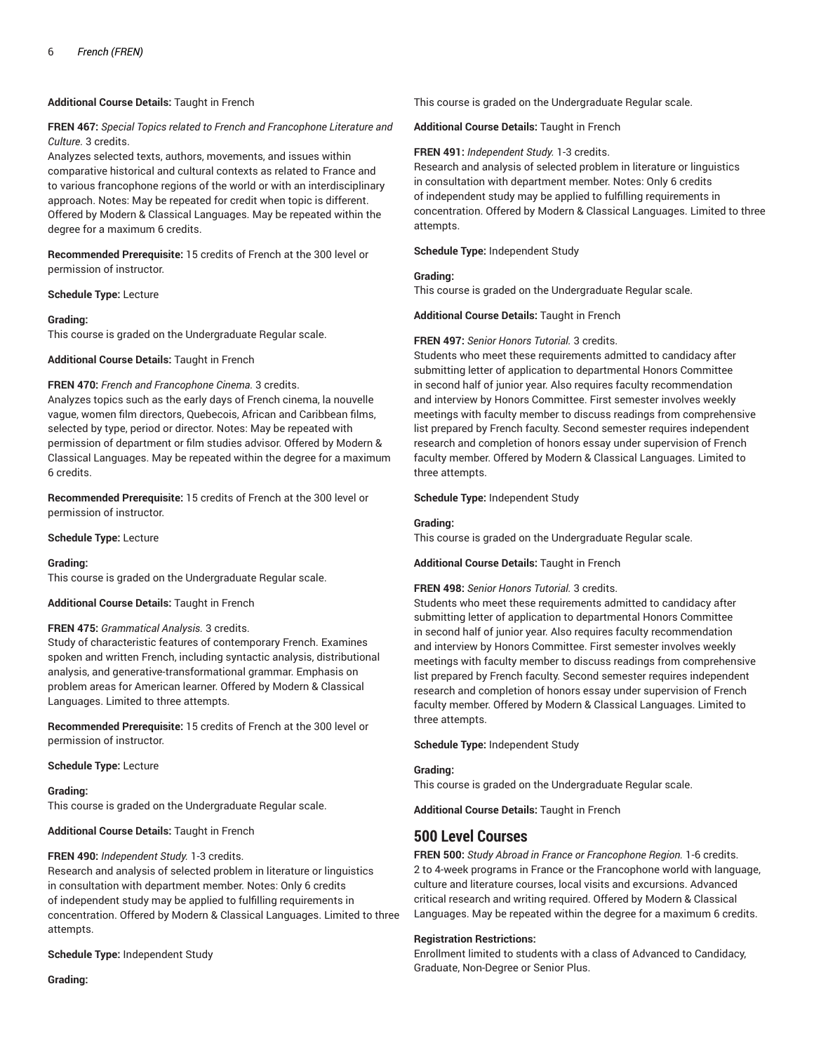## **Additional Course Details:** Taught in French

## **FREN 467:** *Special Topics related to French and Francophone Literature and Culture.* 3 credits.

Analyzes selected texts, authors, movements, and issues within comparative historical and cultural contexts as related to France and to various francophone regions of the world or with an interdisciplinary approach. Notes: May be repeated for credit when topic is different. Offered by Modern & Classical Languages. May be repeated within the degree for a maximum 6 credits.

**Recommended Prerequisite:** 15 credits of French at the 300 level or permission of instructor.

#### **Schedule Type:** Lecture

## **Grading:**

This course is graded on the Undergraduate Regular scale.

**Additional Course Details:** Taught in French

## **FREN 470:** *French and Francophone Cinema.* 3 credits.

Analyzes topics such as the early days of French cinema, la nouvelle vague, women film directors, Quebecois, African and Caribbean films, selected by type, period or director. Notes: May be repeated with permission of department or film studies advisor. Offered by Modern & Classical Languages. May be repeated within the degree for a maximum 6 credits.

**Recommended Prerequisite:** 15 credits of French at the 300 level or permission of instructor.

#### **Schedule Type:** Lecture

#### **Grading:**

This course is graded on the Undergraduate Regular scale.

#### **Additional Course Details:** Taught in French

## **FREN 475:** *Grammatical Analysis.* 3 credits.

Study of characteristic features of contemporary French. Examines spoken and written French, including syntactic analysis, distributional analysis, and generative-transformational grammar. Emphasis on problem areas for American learner. Offered by Modern & Classical Languages. Limited to three attempts.

**Recommended Prerequisite:** 15 credits of French at the 300 level or permission of instructor.

**Schedule Type:** Lecture

#### **Grading:**

This course is graded on the Undergraduate Regular scale.

**Additional Course Details:** Taught in French

#### **FREN 490:** *Independent Study.* 1-3 credits.

Research and analysis of selected problem in literature or linguistics in consultation with department member. Notes: Only 6 credits of independent study may be applied to fulfilling requirements in concentration. Offered by Modern & Classical Languages. Limited to three attempts.

#### **Schedule Type:** Independent Study

**Grading:**

This course is graded on the Undergraduate Regular scale.

#### **Additional Course Details:** Taught in French

## **FREN 491:** *Independent Study.* 1-3 credits.

Research and analysis of selected problem in literature or linguistics in consultation with department member. Notes: Only 6 credits of independent study may be applied to fulfilling requirements in concentration. Offered by Modern & Classical Languages. Limited to three attempts.

#### **Schedule Type:** Independent Study

#### **Grading:**

This course is graded on the Undergraduate Regular scale.

#### **Additional Course Details:** Taught in French

## **FREN 497:** *Senior Honors Tutorial.* 3 credits.

Students who meet these requirements admitted to candidacy after submitting letter of application to departmental Honors Committee in second half of junior year. Also requires faculty recommendation and interview by Honors Committee. First semester involves weekly meetings with faculty member to discuss readings from comprehensive list prepared by French faculty. Second semester requires independent research and completion of honors essay under supervision of French faculty member. Offered by Modern & Classical Languages. Limited to three attempts.

**Schedule Type:** Independent Study

#### **Grading:**

This course is graded on the Undergraduate Regular scale.

#### **Additional Course Details:** Taught in French

## **FREN 498:** *Senior Honors Tutorial.* 3 credits.

Students who meet these requirements admitted to candidacy after submitting letter of application to departmental Honors Committee in second half of junior year. Also requires faculty recommendation and interview by Honors Committee. First semester involves weekly meetings with faculty member to discuss readings from comprehensive list prepared by French faculty. Second semester requires independent research and completion of honors essay under supervision of French faculty member. Offered by Modern & Classical Languages. Limited to three attempts.

**Schedule Type:** Independent Study

#### **Grading:**

This course is graded on the Undergraduate Regular scale.

**Additional Course Details:** Taught in French

## **500 Level Courses**

**FREN 500:** *Study Abroad in France or Francophone Region.* 1-6 credits. 2 to 4-week programs in France or the Francophone world with language, culture and literature courses, local visits and excursions. Advanced critical research and writing required. Offered by Modern & Classical Languages. May be repeated within the degree for a maximum 6 credits.

#### **Registration Restrictions:**

Enrollment limited to students with a class of Advanced to Candidacy, Graduate, Non-Degree or Senior Plus.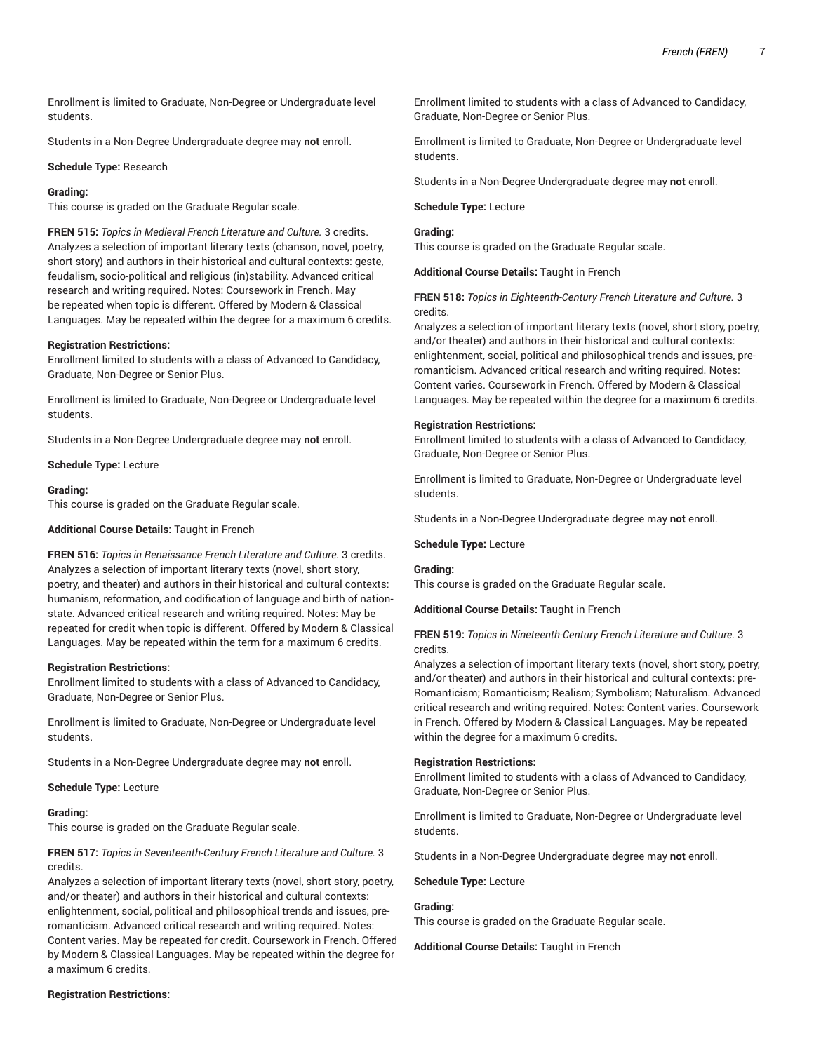Enrollment is limited to Graduate, Non-Degree or Undergraduate level students.

Students in a Non-Degree Undergraduate degree may **not** enroll.

#### **Schedule Type:** Research

#### **Grading:**

This course is graded on the Graduate Regular scale.

**FREN 515:** *Topics in Medieval French Literature and Culture.* 3 credits. Analyzes a selection of important literary texts (chanson, novel, poetry, short story) and authors in their historical and cultural contexts: geste, feudalism, socio-political and religious (in)stability. Advanced critical research and writing required. Notes: Coursework in French. May be repeated when topic is different. Offered by Modern & Classical Languages. May be repeated within the degree for a maximum 6 credits.

#### **Registration Restrictions:**

Enrollment limited to students with a class of Advanced to Candidacy, Graduate, Non-Degree or Senior Plus.

Enrollment is limited to Graduate, Non-Degree or Undergraduate level students.

Students in a Non-Degree Undergraduate degree may **not** enroll.

**Schedule Type:** Lecture

#### **Grading:**

This course is graded on the Graduate Regular scale.

#### **Additional Course Details:** Taught in French

**FREN 516:** *Topics in Renaissance French Literature and Culture.* 3 credits. Analyzes a selection of important literary texts (novel, short story, poetry, and theater) and authors in their historical and cultural contexts: humanism, reformation, and codification of language and birth of nationstate. Advanced critical research and writing required. Notes: May be repeated for credit when topic is different. Offered by Modern & Classical Languages. May be repeated within the term for a maximum 6 credits.

#### **Registration Restrictions:**

Enrollment limited to students with a class of Advanced to Candidacy, Graduate, Non-Degree or Senior Plus.

Enrollment is limited to Graduate, Non-Degree or Undergraduate level students.

Students in a Non-Degree Undergraduate degree may **not** enroll.

#### **Schedule Type:** Lecture

#### **Grading:**

This course is graded on the Graduate Regular scale.

**FREN 517:** *Topics in Seventeenth-Century French Literature and Culture.* 3 credits.

Analyzes a selection of important literary texts (novel, short story, poetry, and/or theater) and authors in their historical and cultural contexts: enlightenment, social, political and philosophical trends and issues, preromanticism. Advanced critical research and writing required. Notes: Content varies. May be repeated for credit. Coursework in French. Offered by Modern & Classical Languages. May be repeated within the degree for a maximum 6 credits.

### **Registration Restrictions:**

Enrollment limited to students with a class of Advanced to Candidacy, Graduate, Non-Degree or Senior Plus.

Enrollment is limited to Graduate, Non-Degree or Undergraduate level students.

Students in a Non-Degree Undergraduate degree may **not** enroll.

#### **Schedule Type:** Lecture

## **Grading:**

This course is graded on the Graduate Regular scale.

**Additional Course Details:** Taught in French

**FREN 518:** *Topics in Eighteenth-Century French Literature and Culture.* 3 credits.

Analyzes a selection of important literary texts (novel, short story, poetry, and/or theater) and authors in their historical and cultural contexts: enlightenment, social, political and philosophical trends and issues, preromanticism. Advanced critical research and writing required. Notes: Content varies. Coursework in French. Offered by Modern & Classical Languages. May be repeated within the degree for a maximum 6 credits.

#### **Registration Restrictions:**

Enrollment limited to students with a class of Advanced to Candidacy, Graduate, Non-Degree or Senior Plus.

Enrollment is limited to Graduate, Non-Degree or Undergraduate level students.

Students in a Non-Degree Undergraduate degree may **not** enroll.

**Schedule Type:** Lecture

#### **Grading:**

This course is graded on the Graduate Regular scale.

**Additional Course Details:** Taught in French

#### **FREN 519:** *Topics in Nineteenth-Century French Literature and Culture.* 3 credits.

Analyzes a selection of important literary texts (novel, short story, poetry, and/or theater) and authors in their historical and cultural contexts: pre-Romanticism; Romanticism; Realism; Symbolism; Naturalism. Advanced critical research and writing required. Notes: Content varies. Coursework in French. Offered by Modern & Classical Languages. May be repeated within the degree for a maximum 6 credits.

#### **Registration Restrictions:**

Enrollment limited to students with a class of Advanced to Candidacy, Graduate, Non-Degree or Senior Plus.

Enrollment is limited to Graduate, Non-Degree or Undergraduate level students.

Students in a Non-Degree Undergraduate degree may **not** enroll.

#### **Schedule Type:** Lecture

#### **Grading:**

This course is graded on the Graduate Regular scale.

**Additional Course Details:** Taught in French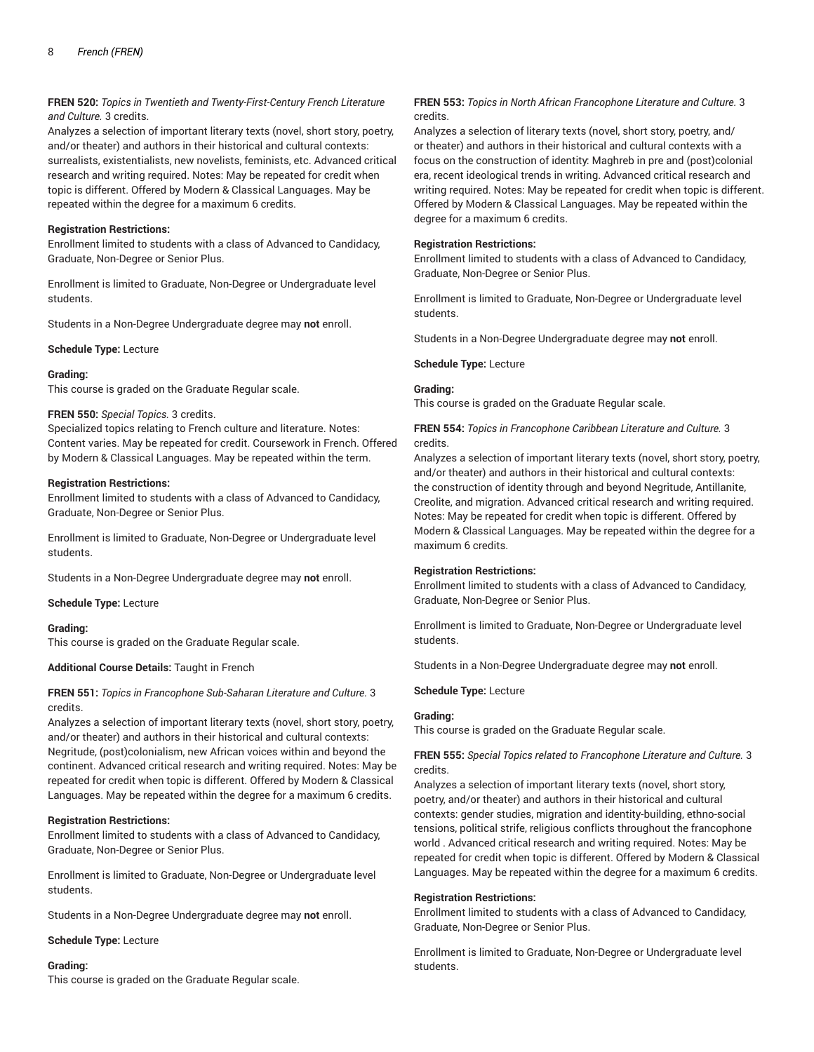## **FREN 520:** *Topics in Twentieth and Twenty-First-Century French Literature and Culture.* 3 credits.

Analyzes a selection of important literary texts (novel, short story, poetry, and/or theater) and authors in their historical and cultural contexts: surrealists, existentialists, new novelists, feminists, etc. Advanced critical research and writing required. Notes: May be repeated for credit when topic is different. Offered by Modern & Classical Languages. May be repeated within the degree for a maximum 6 credits.

## **Registration Restrictions:**

Enrollment limited to students with a class of Advanced to Candidacy, Graduate, Non-Degree or Senior Plus.

Enrollment is limited to Graduate, Non-Degree or Undergraduate level students.

Students in a Non-Degree Undergraduate degree may **not** enroll.

## **Schedule Type:** Lecture

## **Grading:**

This course is graded on the Graduate Regular scale.

## **FREN 550:** *Special Topics.* 3 credits.

Specialized topics relating to French culture and literature. Notes: Content varies. May be repeated for credit. Coursework in French. Offered by Modern & Classical Languages. May be repeated within the term.

## **Registration Restrictions:**

Enrollment limited to students with a class of Advanced to Candidacy, Graduate, Non-Degree or Senior Plus.

Enrollment is limited to Graduate, Non-Degree or Undergraduate level students.

Students in a Non-Degree Undergraduate degree may **not** enroll.

**Schedule Type:** Lecture

#### **Grading:**

This course is graded on the Graduate Regular scale.

#### **Additional Course Details:** Taught in French

## **FREN 551:** *Topics in Francophone Sub-Saharan Literature and Culture.* 3 credits.

Analyzes a selection of important literary texts (novel, short story, poetry, and/or theater) and authors in their historical and cultural contexts: Negritude, (post)colonialism, new African voices within and beyond the continent. Advanced critical research and writing required. Notes: May be repeated for credit when topic is different. Offered by Modern & Classical Languages. May be repeated within the degree for a maximum 6 credits.

## **Registration Restrictions:**

Enrollment limited to students with a class of Advanced to Candidacy, Graduate, Non-Degree or Senior Plus.

Enrollment is limited to Graduate, Non-Degree or Undergraduate level students.

Students in a Non-Degree Undergraduate degree may **not** enroll.

#### **Schedule Type:** Lecture

## **Grading:**

This course is graded on the Graduate Regular scale.

## **FREN 553:** *Topics in North African Francophone Literature and Culture.* 3 credits.

Analyzes a selection of literary texts (novel, short story, poetry, and/ or theater) and authors in their historical and cultural contexts with a focus on the construction of identity: Maghreb in pre and (post)colonial era, recent ideological trends in writing. Advanced critical research and writing required. Notes: May be repeated for credit when topic is different. Offered by Modern & Classical Languages. May be repeated within the degree for a maximum 6 credits.

## **Registration Restrictions:**

Enrollment limited to students with a class of Advanced to Candidacy, Graduate, Non-Degree or Senior Plus.

Enrollment is limited to Graduate, Non-Degree or Undergraduate level students.

Students in a Non-Degree Undergraduate degree may **not** enroll.

## **Schedule Type:** Lecture

## **Grading:**

This course is graded on the Graduate Regular scale.

## **FREN 554:** *Topics in Francophone Caribbean Literature and Culture.* 3 credits.

Analyzes a selection of important literary texts (novel, short story, poetry, and/or theater) and authors in their historical and cultural contexts: the construction of identity through and beyond Negritude, Antillanite, Creolite, and migration. Advanced critical research and writing required. Notes: May be repeated for credit when topic is different. Offered by Modern & Classical Languages. May be repeated within the degree for a maximum 6 credits.

## **Registration Restrictions:**

Enrollment limited to students with a class of Advanced to Candidacy, Graduate, Non-Degree or Senior Plus.

Enrollment is limited to Graduate, Non-Degree or Undergraduate level students.

Students in a Non-Degree Undergraduate degree may **not** enroll.

#### **Schedule Type:** Lecture

#### **Grading:**

This course is graded on the Graduate Regular scale.

**FREN 555:** *Special Topics related to Francophone Literature and Culture.* 3 credits.

Analyzes a selection of important literary texts (novel, short story, poetry, and/or theater) and authors in their historical and cultural contexts: gender studies, migration and identity-building, ethno-social tensions, political strife, religious conflicts throughout the francophone world . Advanced critical research and writing required. Notes: May be repeated for credit when topic is different. Offered by Modern & Classical Languages. May be repeated within the degree for a maximum 6 credits.

#### **Registration Restrictions:**

Enrollment limited to students with a class of Advanced to Candidacy, Graduate, Non-Degree or Senior Plus.

Enrollment is limited to Graduate, Non-Degree or Undergraduate level students.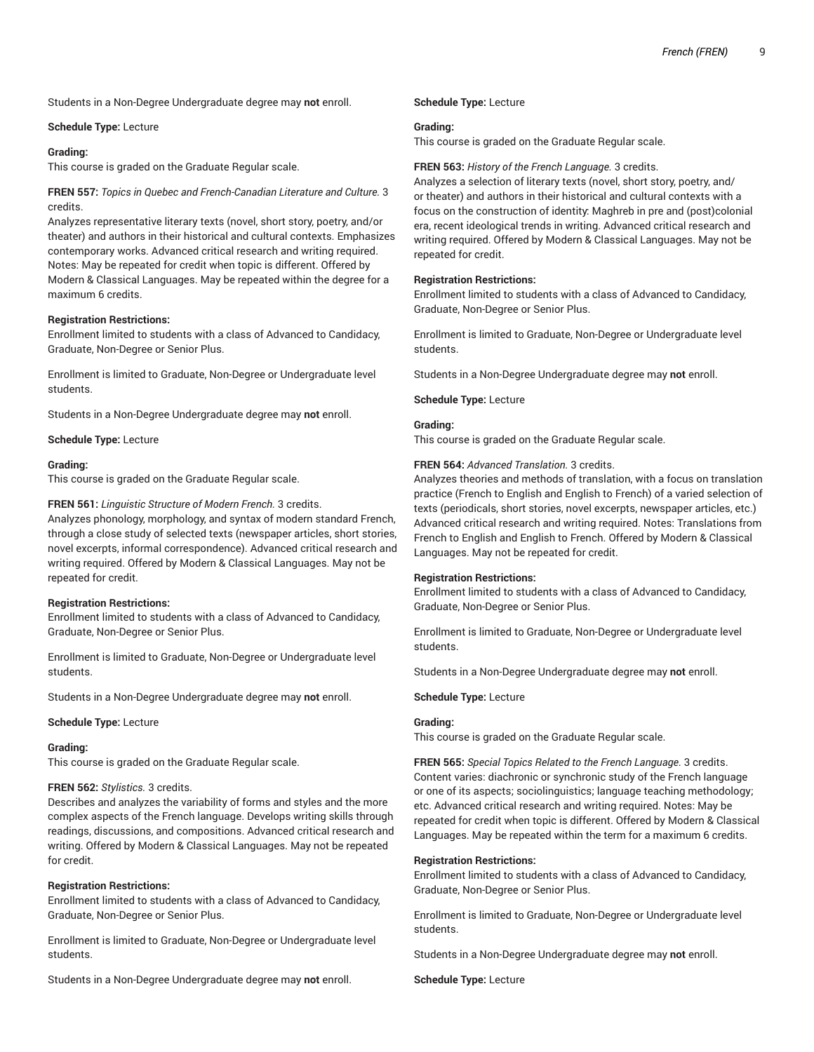Students in a Non-Degree Undergraduate degree may **not** enroll.

#### **Schedule Type:** Lecture

#### **Grading:**

This course is graded on the Graduate Regular scale.

**FREN 557:** *Topics in Quebec and French-Canadian Literature and Culture.* 3 credits.

Analyzes representative literary texts (novel, short story, poetry, and/or theater) and authors in their historical and cultural contexts. Emphasizes contemporary works. Advanced critical research and writing required. Notes: May be repeated for credit when topic is different. Offered by Modern & Classical Languages. May be repeated within the degree for a maximum 6 credits.

## **Registration Restrictions:**

Enrollment limited to students with a class of Advanced to Candidacy, Graduate, Non-Degree or Senior Plus.

Enrollment is limited to Graduate, Non-Degree or Undergraduate level students.

Students in a Non-Degree Undergraduate degree may **not** enroll.

**Schedule Type:** Lecture

#### **Grading:**

This course is graded on the Graduate Regular scale.

#### **FREN 561:** *Linguistic Structure of Modern French.* 3 credits.

Analyzes phonology, morphology, and syntax of modern standard French, through a close study of selected texts (newspaper articles, short stories, novel excerpts, informal correspondence). Advanced critical research and writing required. Offered by Modern & Classical Languages. May not be repeated for credit.

#### **Registration Restrictions:**

Enrollment limited to students with a class of Advanced to Candidacy, Graduate, Non-Degree or Senior Plus.

Enrollment is limited to Graduate, Non-Degree or Undergraduate level students.

Students in a Non-Degree Undergraduate degree may **not** enroll.

**Schedule Type:** Lecture

#### **Grading:**

This course is graded on the Graduate Regular scale.

#### **FREN 562:** *Stylistics.* 3 credits.

Describes and analyzes the variability of forms and styles and the more complex aspects of the French language. Develops writing skills through readings, discussions, and compositions. Advanced critical research and writing. Offered by Modern & Classical Languages. May not be repeated for credit.

#### **Registration Restrictions:**

Enrollment limited to students with a class of Advanced to Candidacy, Graduate, Non-Degree or Senior Plus.

Enrollment is limited to Graduate, Non-Degree or Undergraduate level students.

Students in a Non-Degree Undergraduate degree may **not** enroll.

## **Schedule Type:** Lecture

#### **Grading:**

This course is graded on the Graduate Regular scale.

#### **FREN 563:** *History of the French Language.* 3 credits.

Analyzes a selection of literary texts (novel, short story, poetry, and/ or theater) and authors in their historical and cultural contexts with a focus on the construction of identity: Maghreb in pre and (post)colonial era, recent ideological trends in writing. Advanced critical research and writing required. Offered by Modern & Classical Languages. May not be repeated for credit.

#### **Registration Restrictions:**

Enrollment limited to students with a class of Advanced to Candidacy, Graduate, Non-Degree or Senior Plus.

Enrollment is limited to Graduate, Non-Degree or Undergraduate level students.

Students in a Non-Degree Undergraduate degree may **not** enroll.

#### **Schedule Type:** Lecture

#### **Grading:**

This course is graded on the Graduate Regular scale.

#### **FREN 564:** *Advanced Translation.* 3 credits.

Analyzes theories and methods of translation, with a focus on translation practice (French to English and English to French) of a varied selection of texts (periodicals, short stories, novel excerpts, newspaper articles, etc.) Advanced critical research and writing required. Notes: Translations from French to English and English to French. Offered by Modern & Classical Languages. May not be repeated for credit.

#### **Registration Restrictions:**

Enrollment limited to students with a class of Advanced to Candidacy, Graduate, Non-Degree or Senior Plus.

Enrollment is limited to Graduate, Non-Degree or Undergraduate level students.

Students in a Non-Degree Undergraduate degree may **not** enroll.

**Schedule Type:** Lecture

## **Grading:**

This course is graded on the Graduate Regular scale.

**FREN 565:** *Special Topics Related to the French Language.* 3 credits. Content varies: diachronic or synchronic study of the French language or one of its aspects; sociolinguistics; language teaching methodology; etc. Advanced critical research and writing required. Notes: May be repeated for credit when topic is different. Offered by Modern & Classical Languages. May be repeated within the term for a maximum 6 credits.

#### **Registration Restrictions:**

Enrollment limited to students with a class of Advanced to Candidacy, Graduate, Non-Degree or Senior Plus.

Enrollment is limited to Graduate, Non-Degree or Undergraduate level students.

Students in a Non-Degree Undergraduate degree may **not** enroll.

**Schedule Type:** Lecture